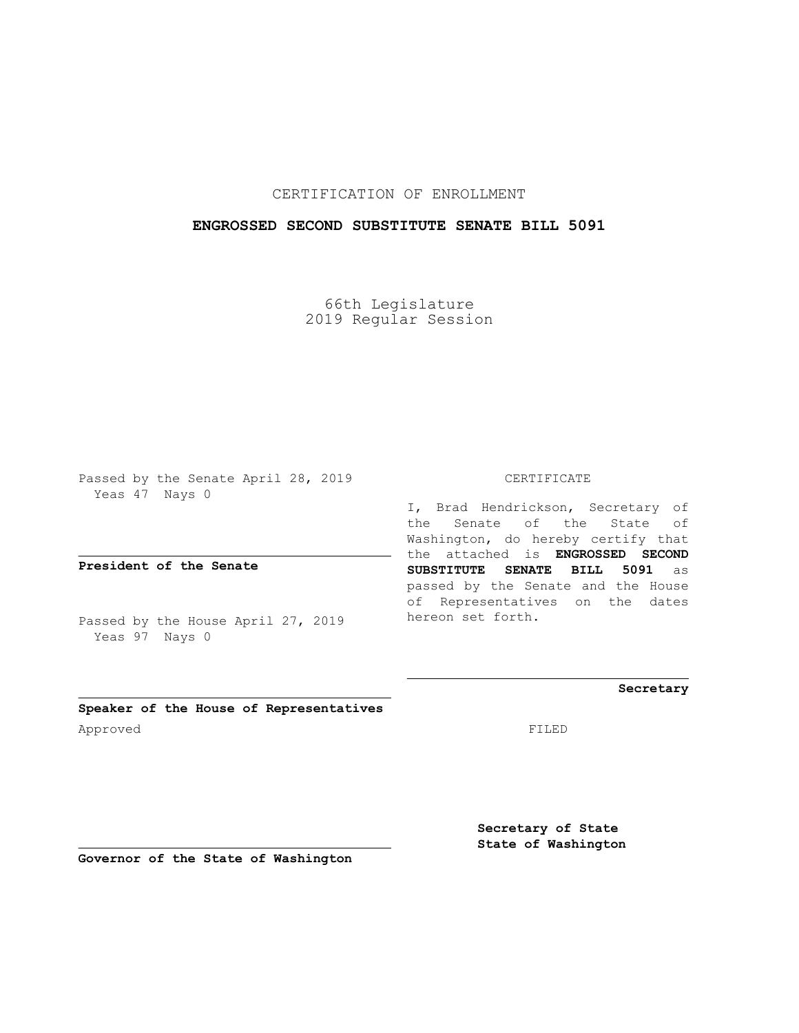## CERTIFICATION OF ENROLLMENT

### **ENGROSSED SECOND SUBSTITUTE SENATE BILL 5091**

66th Legislature 2019 Regular Session

Passed by the Senate April 28, 2019 Yeas 47 Nays 0

**President of the Senate**

Passed by the House April 27, 2019 Yeas 97 Nays 0

#### CERTIFICATE

I, Brad Hendrickson, Secretary of the Senate of the State of Washington, do hereby certify that the attached is **ENGROSSED SECOND SUBSTITUTE SENATE BILL 5091** as passed by the Senate and the House of Representatives on the dates hereon set forth.

**Secretary**

**Speaker of the House of Representatives** Approved FILED

**Secretary of State State of Washington**

**Governor of the State of Washington**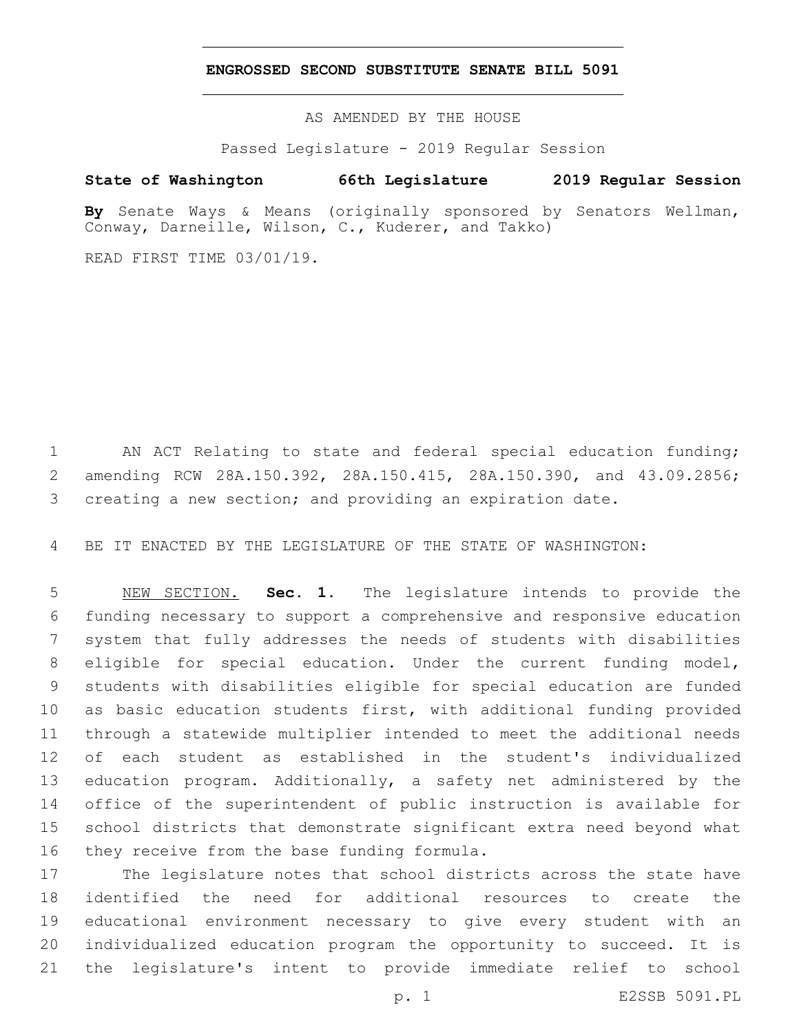#### **ENGROSSED SECOND SUBSTITUTE SENATE BILL 5091**

AS AMENDED BY THE HOUSE

Passed Legislature - 2019 Regular Session

# **State of Washington 66th Legislature 2019 Regular Session**

**By** Senate Ways & Means (originally sponsored by Senators Wellman, Conway, Darneille, Wilson, C., Kuderer, and Takko)

READ FIRST TIME 03/01/19.

 AN ACT Relating to state and federal special education funding; amending RCW 28A.150.392, 28A.150.415, 28A.150.390, and 43.09.2856; creating a new section; and providing an expiration date.

BE IT ENACTED BY THE LEGISLATURE OF THE STATE OF WASHINGTON:

 NEW SECTION. **Sec. 1.** The legislature intends to provide the funding necessary to support a comprehensive and responsive education system that fully addresses the needs of students with disabilities eligible for special education. Under the current funding model, students with disabilities eligible for special education are funded as basic education students first, with additional funding provided through a statewide multiplier intended to meet the additional needs of each student as established in the student's individualized education program. Additionally, a safety net administered by the office of the superintendent of public instruction is available for school districts that demonstrate significant extra need beyond what they receive from the base funding formula.

 The legislature notes that school districts across the state have identified the need for additional resources to create the educational environment necessary to give every student with an individualized education program the opportunity to succeed. It is the legislature's intent to provide immediate relief to school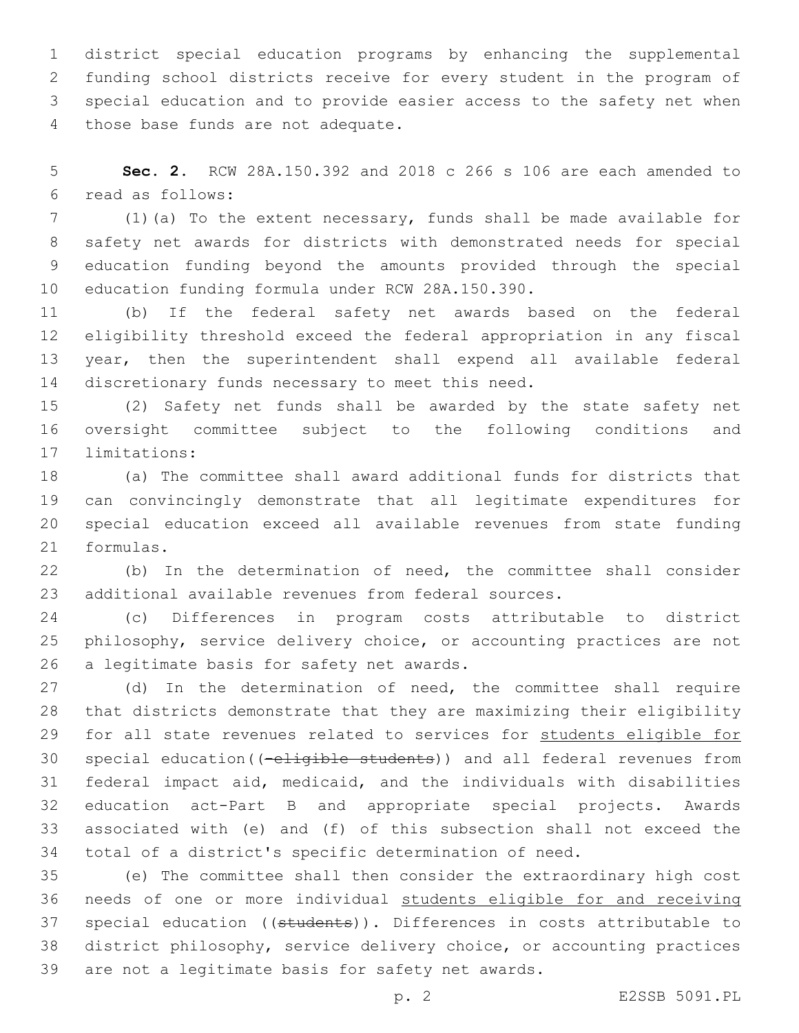district special education programs by enhancing the supplemental funding school districts receive for every student in the program of special education and to provide easier access to the safety net when 4 those base funds are not adequate.

 **Sec. 2.** RCW 28A.150.392 and 2018 c 266 s 106 are each amended to read as follows:6

 (1)(a) To the extent necessary, funds shall be made available for safety net awards for districts with demonstrated needs for special education funding beyond the amounts provided through the special 10 education funding formula under RCW 28A.150.390.

 (b) If the federal safety net awards based on the federal eligibility threshold exceed the federal appropriation in any fiscal year, then the superintendent shall expend all available federal 14 discretionary funds necessary to meet this need.

 (2) Safety net funds shall be awarded by the state safety net oversight committee subject to the following conditions and 17 limitations:

 (a) The committee shall award additional funds for districts that can convincingly demonstrate that all legitimate expenditures for special education exceed all available revenues from state funding 21 formulas.

 (b) In the determination of need, the committee shall consider additional available revenues from federal sources.

 (c) Differences in program costs attributable to district philosophy, service delivery choice, or accounting practices are not 26 a legitimate basis for safety net awards.

 (d) In the determination of need, the committee shall require that districts demonstrate that they are maximizing their eligibility for all state revenues related to services for students eligible for 30 special education((-eligible students)) and all federal revenues from federal impact aid, medicaid, and the individuals with disabilities education act-Part B and appropriate special projects. Awards associated with (e) and (f) of this subsection shall not exceed the total of a district's specific determination of need.

 (e) The committee shall then consider the extraordinary high cost needs of one or more individual students eligible for and receiving 37 special education ((students)). Differences in costs attributable to district philosophy, service delivery choice, or accounting practices 39 are not a legitimate basis for safety net awards.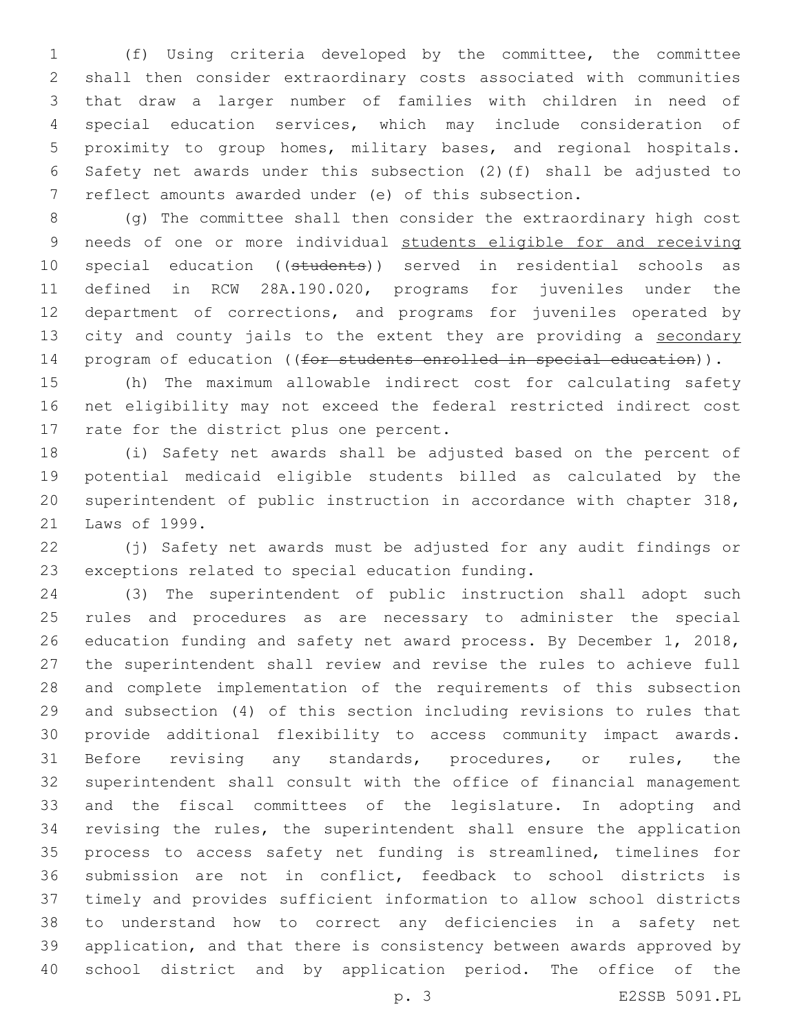(f) Using criteria developed by the committee, the committee shall then consider extraordinary costs associated with communities that draw a larger number of families with children in need of special education services, which may include consideration of proximity to group homes, military bases, and regional hospitals. Safety net awards under this subsection (2)(f) shall be adjusted to reflect amounts awarded under (e) of this subsection.

 (g) The committee shall then consider the extraordinary high cost needs of one or more individual students eligible for and receiving 10 special education ((students)) served in residential schools as defined in RCW 28A.190.020, programs for juveniles under the department of corrections, and programs for juveniles operated by 13 city and county jails to the extent they are providing a secondary 14 program of education ((for students enrolled in special education)).

 (h) The maximum allowable indirect cost for calculating safety net eligibility may not exceed the federal restricted indirect cost 17 rate for the district plus one percent.

 (i) Safety net awards shall be adjusted based on the percent of potential medicaid eligible students billed as calculated by the superintendent of public instruction in accordance with chapter 318, 21 Laws of 1999.

 (j) Safety net awards must be adjusted for any audit findings or 23 exceptions related to special education funding.

 (3) The superintendent of public instruction shall adopt such rules and procedures as are necessary to administer the special education funding and safety net award process. By December 1, 2018, the superintendent shall review and revise the rules to achieve full and complete implementation of the requirements of this subsection and subsection (4) of this section including revisions to rules that provide additional flexibility to access community impact awards. Before revising any standards, procedures, or rules, the superintendent shall consult with the office of financial management and the fiscal committees of the legislature. In adopting and revising the rules, the superintendent shall ensure the application process to access safety net funding is streamlined, timelines for submission are not in conflict, feedback to school districts is timely and provides sufficient information to allow school districts to understand how to correct any deficiencies in a safety net application, and that there is consistency between awards approved by school district and by application period. The office of the

p. 3 E2SSB 5091.PL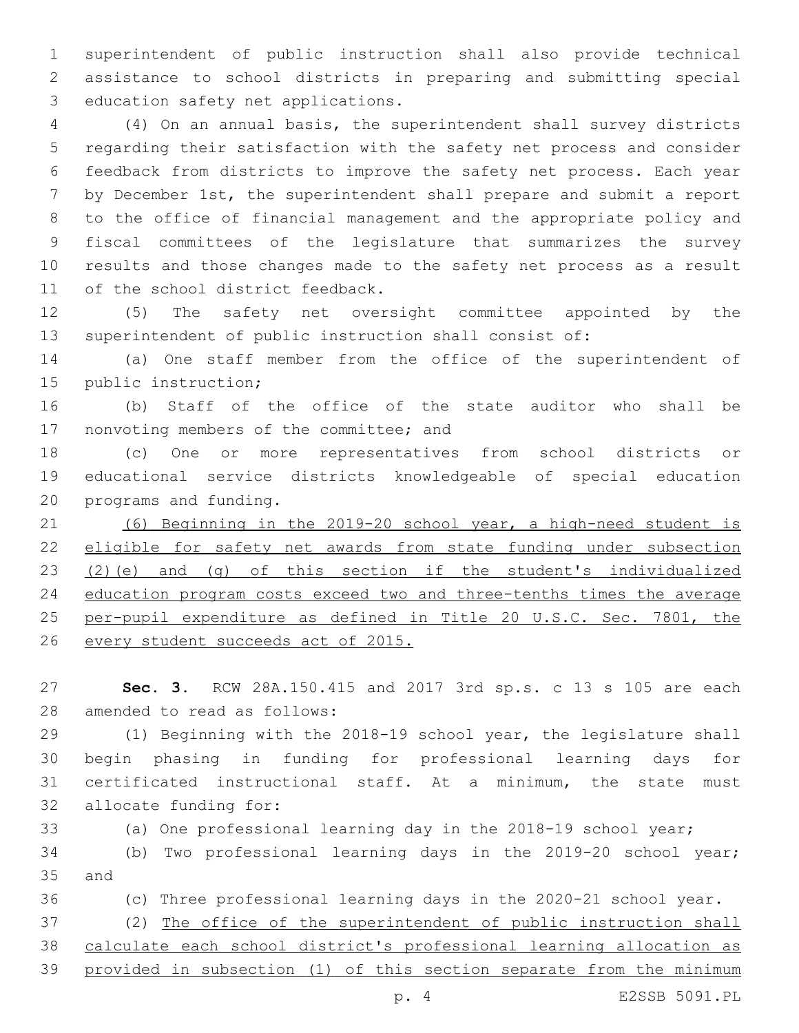superintendent of public instruction shall also provide technical assistance to school districts in preparing and submitting special 3 education safety net applications.

 (4) On an annual basis, the superintendent shall survey districts regarding their satisfaction with the safety net process and consider feedback from districts to improve the safety net process. Each year by December 1st, the superintendent shall prepare and submit a report to the office of financial management and the appropriate policy and fiscal committees of the legislature that summarizes the survey results and those changes made to the safety net process as a result 11 of the school district feedback.

 (5) The safety net oversight committee appointed by the superintendent of public instruction shall consist of:

 (a) One staff member from the office of the superintendent of 15 public instruction;

 (b) Staff of the office of the state auditor who shall be 17 nonvoting members of the committee; and

 (c) One or more representatives from school districts or educational service districts knowledgeable of special education 20 programs and funding.

 (6) Beginning in the 2019-20 school year, a high-need student is eligible for safety net awards from state funding under subsection (2)(e) and (g) of this section if the student's individualized education program costs exceed two and three-tenths times the average 25 per-pupil expenditure as defined in Title 20 U.S.C. Sec. 7801, the every student succeeds act of 2015.

 **Sec. 3.** RCW 28A.150.415 and 2017 3rd sp.s. c 13 s 105 are each 28 amended to read as follows:

 (1) Beginning with the 2018-19 school year, the legislature shall begin phasing in funding for professional learning days for certificated instructional staff. At a minimum, the state must 32 allocate funding for:

(a) One professional learning day in the 2018-19 school year;

 (b) Two professional learning days in the 2019-20 school year; 35 and

(c) Three professional learning days in the 2020-21 school year.

 (2) The office of the superintendent of public instruction shall calculate each school district's professional learning allocation as provided in subsection (1) of this section separate from the minimum

p. 4 E2SSB 5091.PL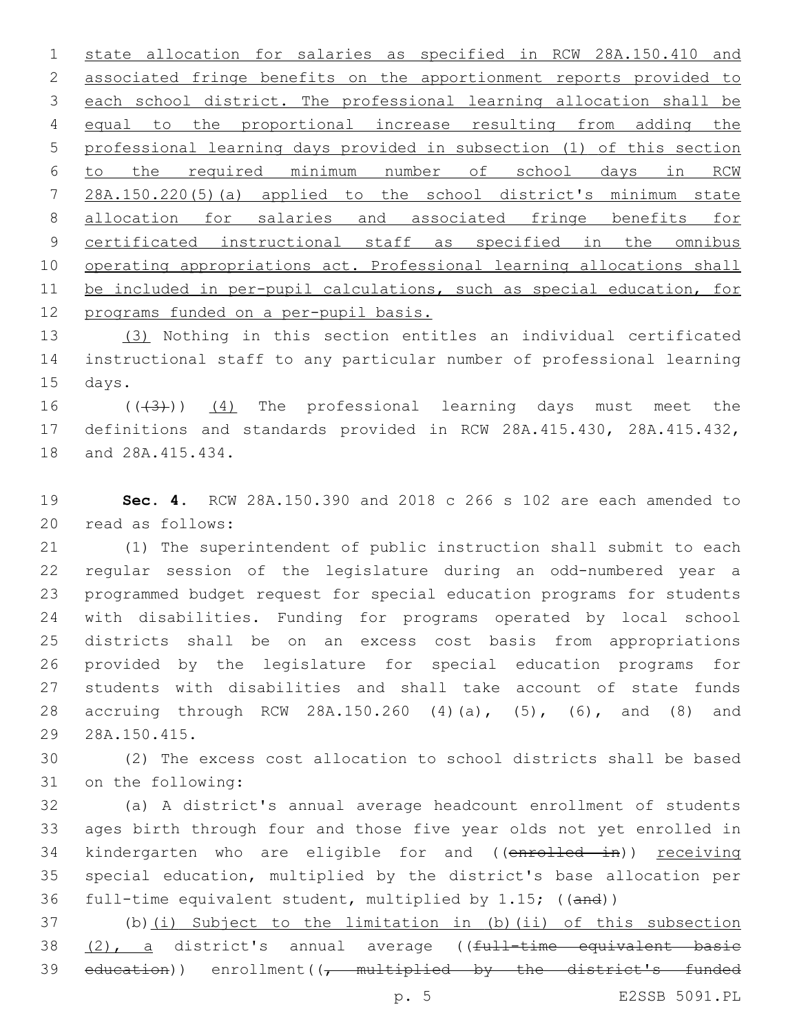state allocation for salaries as specified in RCW 28A.150.410 and associated fringe benefits on the apportionment reports provided to each school district. The professional learning allocation shall be equal to the proportional increase resulting from adding the professional learning days provided in subsection (1) of this section to the required minimum number of school days in RCW 28A.150.220(5)(a) applied to the school district's minimum state allocation for salaries and associated fringe benefits for 9 certificated instructional staff as specified in the omnibus operating appropriations act. Professional learning allocations shall be included in per-pupil calculations, such as special education, for 12 programs funded on a per-pupil basis.

 (3) Nothing in this section entitles an individual certificated instructional staff to any particular number of professional learning 15 days.

16  $((\langle 3 \rangle))$   $(4)$  The professional learning days must meet the definitions and standards provided in RCW 28A.415.430, 28A.415.432, 18 and 28A.415.434.

 **Sec. 4.** RCW 28A.150.390 and 2018 c 266 s 102 are each amended to 20 read as follows:

 (1) The superintendent of public instruction shall submit to each regular session of the legislature during an odd-numbered year a programmed budget request for special education programs for students with disabilities. Funding for programs operated by local school districts shall be on an excess cost basis from appropriations provided by the legislature for special education programs for students with disabilities and shall take account of state funds accruing through RCW 28A.150.260 (4)(a), (5), (6), and (8) and 28A.150.415.29

 (2) The excess cost allocation to school districts shall be based 31 on the following:

 (a) A district's annual average headcount enrollment of students ages birth through four and those five year olds not yet enrolled in 34 kindergarten who are eligible for and ((enrolled in)) receiving special education, multiplied by the district's base allocation per full-time equivalent student, multiplied by 1.15; ((and))

 (b)(i) Subject to the limitation in (b)(ii) of this subsection 38 (2), a district's annual average ((full-time equivalent basic 39 education)) enrollment( $\sqrt{t}$  multiplied by the district's funded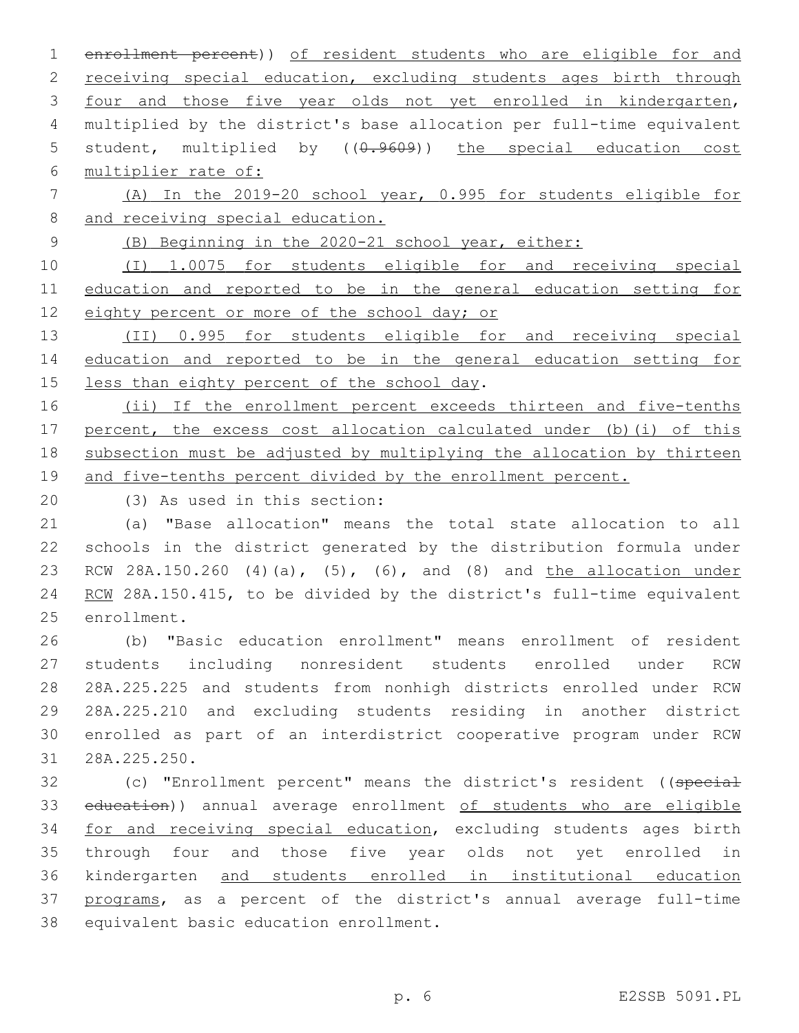enrollment percent)) of resident students who are eligible for and 2 receiving special education, excluding students ages birth through four and those five year olds not yet enrolled in kindergarten, multiplied by the district's base allocation per full-time equivalent 5 student, multiplied by  $((0.9609))$  the special education cost multiplier rate of:

 (A) In the 2019-20 school year, 0.995 for students eligible for and receiving special education.

(B) Beginning in the 2020-21 school year, either:

 (I) 1.0075 for students eligible for and receiving special education and reported to be in the general education setting for 12 eighty percent or more of the school day; or

 (II) 0.995 for students eligible for and receiving special education and reported to be in the general education setting for 15 less than eighty percent of the school day.

16 (ii) If the enrollment percent exceeds thirteen and five-tenths percent, the excess cost allocation calculated under (b)(i) of this subsection must be adjusted by multiplying the allocation by thirteen and five-tenths percent divided by the enrollment percent.

(3) As used in this section:20

 (a) "Base allocation" means the total state allocation to all schools in the district generated by the distribution formula under RCW 28A.150.260 (4)(a), (5), (6), and (8) and the allocation under 24 RCW 28A.150.415, to be divided by the district's full-time equivalent 25 enrollment.

 (b) "Basic education enrollment" means enrollment of resident students including nonresident students enrolled under RCW 28A.225.225 and students from nonhigh districts enrolled under RCW 28A.225.210 and excluding students residing in another district enrolled as part of an interdistrict cooperative program under RCW 28A.225.250.31

32 (c) "Enrollment percent" means the district's resident ((special 33 education)) annual average enrollment of students who are eligible 34 for and receiving special education, excluding students ages birth through four and those five year olds not yet enrolled in kindergarten and students enrolled in institutional education programs, as a percent of the district's annual average full-time 38 equivalent basic education enrollment.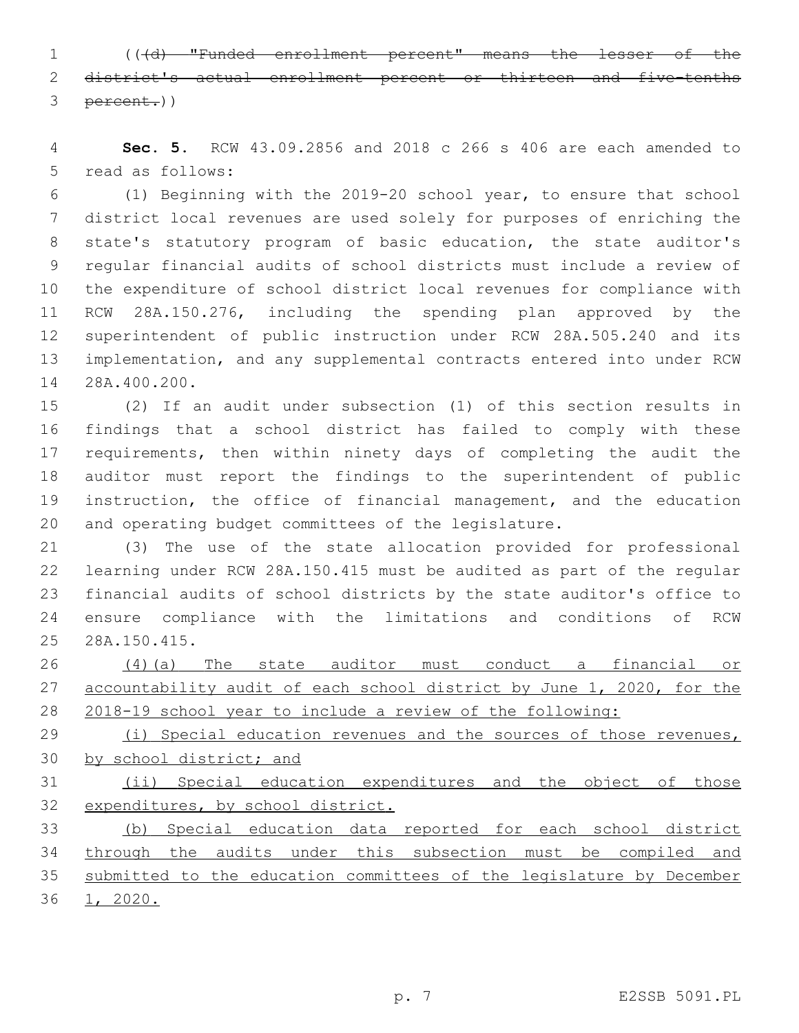(((d) "Funded enrollment percent" means the lesser of the district's actual enrollment percent or thirteen and five-tenths percent.))

 **Sec. 5.** RCW 43.09.2856 and 2018 c 266 s 406 are each amended to 5 read as follows:

 (1) Beginning with the 2019-20 school year, to ensure that school district local revenues are used solely for purposes of enriching the state's statutory program of basic education, the state auditor's regular financial audits of school districts must include a review of the expenditure of school district local revenues for compliance with RCW 28A.150.276, including the spending plan approved by the superintendent of public instruction under RCW 28A.505.240 and its implementation, and any supplemental contracts entered into under RCW 14 28A.400.200.

 (2) If an audit under subsection (1) of this section results in findings that a school district has failed to comply with these 17 requirements, then within ninety days of completing the audit the auditor must report the findings to the superintendent of public instruction, the office of financial management, and the education and operating budget committees of the legislature.

 (3) The use of the state allocation provided for professional learning under RCW 28A.150.415 must be audited as part of the regular financial audits of school districts by the state auditor's office to ensure compliance with the limitations and conditions of RCW 28A.150.415.25

 (4)(a) The state auditor must conduct a financial or 27 accountability audit of each school district by June 1, 2020, for the 2018-19 school year to include a review of the following:

29 (i) Special education revenues and the sources of those revenues, by school district; and

 (ii) Special education expenditures and the object of those expenditures, by school district.

 (b) Special education data reported for each school district through the audits under this subsection must be compiled and submitted to the education committees of the legislature by December 1, 2020.